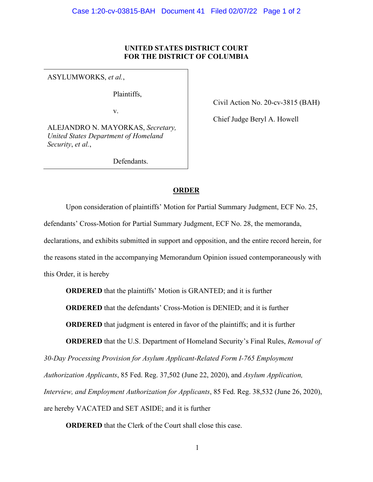## **UNITED STATES DISTRICT COURT FOR THE DISTRICT OF COLUMBIA**

ASYLUMWORKS, *et al.*,

Plaintiffs,

v.

ALEJANDRO N. MAYORKAS, *Secretary, United States Department of Homeland Security*, *et al.*,

Defendants.

Civil Action No. 20-cv-3815 (BAH)

Chief Judge Beryl A. Howell

## **ORDER**

Upon consideration of plaintiffs' Motion for Partial Summary Judgment, ECF No. 25, defendants' Cross-Motion for Partial Summary Judgment, ECF No. 28, the memoranda, declarations, and exhibits submitted in support and opposition, and the entire record herein, for the reasons stated in the accompanying Memorandum Opinion issued contemporaneously with this Order, it is hereby

**ORDERED** that the plaintiffs' Motion is GRANTED; and it is further

**ORDERED** that the defendants' Cross-Motion is DENIED; and it is further

**ORDERED** that judgment is entered in favor of the plaintiffs; and it is further

**ORDERED** that the U.S. Department of Homeland Security's Final Rules, *Removal of* 

*30-Day Processing Provision for Asylum Applicant-Related Form I-765 Employment* 

*Authorization Applicants*, 85 Fed. Reg. 37,502 (June 22, 2020), and *Asylum Application,* 

*Interview, and Employment Authorization for Applicants*, 85 Fed. Reg. 38,532 (June 26, 2020),

are hereby VACATED and SET ASIDE; and it is further

**ORDERED** that the Clerk of the Court shall close this case.